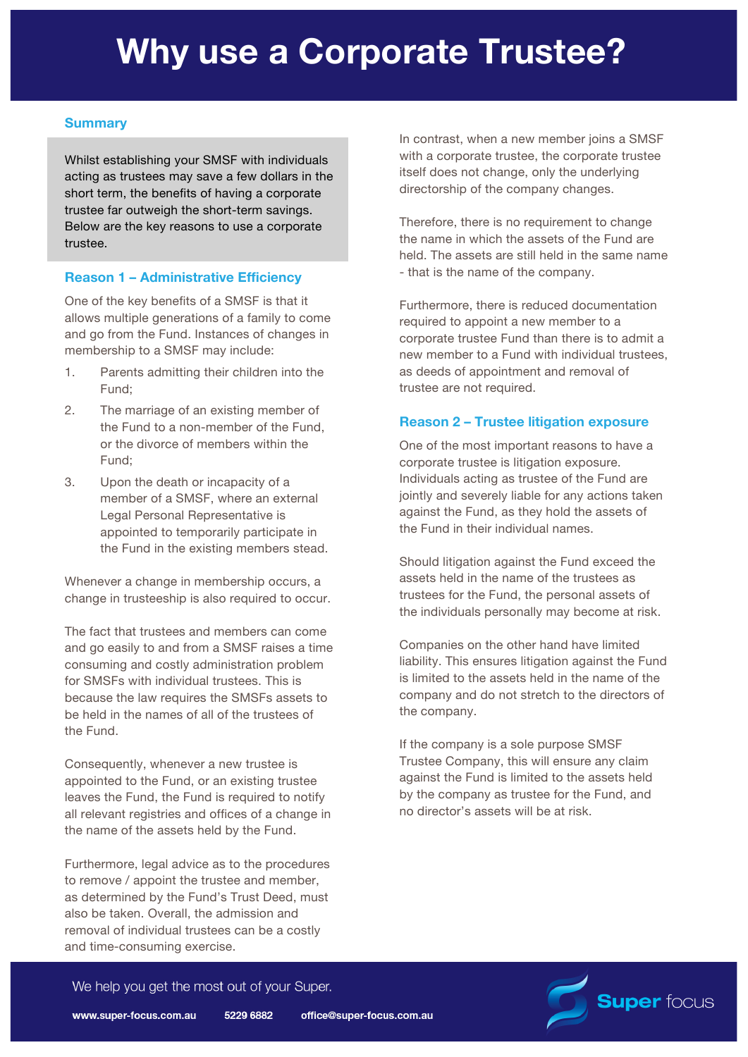## **Why use a Corporate Trustee?**

# **Template Summary**

Whilst establishing your SMSF with individuals acting as trustees may save a few dollars in the short term, the benefits of having a corporate trustee far outweigh the short-term savings. Below are the key reasons to use a corporate trustee.

#### **Reason 1 – Administrative Efficiency**

One of the key benefits of a SMSF is that it allows multiple generations of a family to come and go from the Fund. Instances of changes in membership to a SMSF may include:

- 1. Parents admitting their children into the Fund;
- 2. The marriage of an existing member of the Fund to a non-member of the Fund, or the divorce of members within the Fund;
- 3. Upon the death or incapacity of a member of a SMSF, where an external Legal Personal Representative is appointed to temporarily participate in the Fund in the existing members stead.

Whenever a change in membership occurs, a change in trusteeship is also required to occur.

The fact that trustees and members can come and go easily to and from a SMSF raises a time consuming and costly administration problem for SMSFs with individual trustees. This is because the law requires the SMSFs assets to be held in the names of all of the trustees of the Fund.

Consequently, whenever a new trustee is appointed to the Fund, or an existing trustee leaves the Fund, the Fund is required to notify all relevant registries and offices of a change in the name of the assets held by the Fund.

Furthermore, legal advice as to the procedures to remove / appoint the trustee and member, as determined by the Fund's Trust Deed, must also be taken. Overall, the admission and removal of individual trustees can be a costly and time-consuming exercise.

In contrast, when a new member joins a SMSF with a corporate trustee, the corporate trustee itself does not change, only the underlying directorship of the company changes.

Therefore, there is no requirement to change the name in which the assets of the Fund are held. The assets are still held in the same name - that is the name of the company.

Furthermore, there is reduced documentation required to appoint a new member to a corporate trustee Fund than there is to admit a new member to a Fund with individual trustees, as deeds of appointment and removal of trustee are not required.

#### **Reason 2 – Trustee litigation exposure**

One of the most important reasons to have a corporate trustee is litigation exposure. Individuals acting as trustee of the Fund are jointly and severely liable for any actions taken against the Fund, as they hold the assets of the Fund in their individual names.

Should litigation against the Fund exceed the assets held in the name of the trustees as trustees for the Fund, the personal assets of the individuals personally may become at risk.

Companies on the other hand have limited liability. This ensures litigation against the Fund is limited to the assets held in the name of the company and do not stretch to the directors of the company.

If the company is a sole purpose SMSF Trustee Company, this will ensure any claim against the Fund is limited to the assets held by the company as trustee for the Fund, and no director's assets will be at risk.



We help you get the most out of your Super.